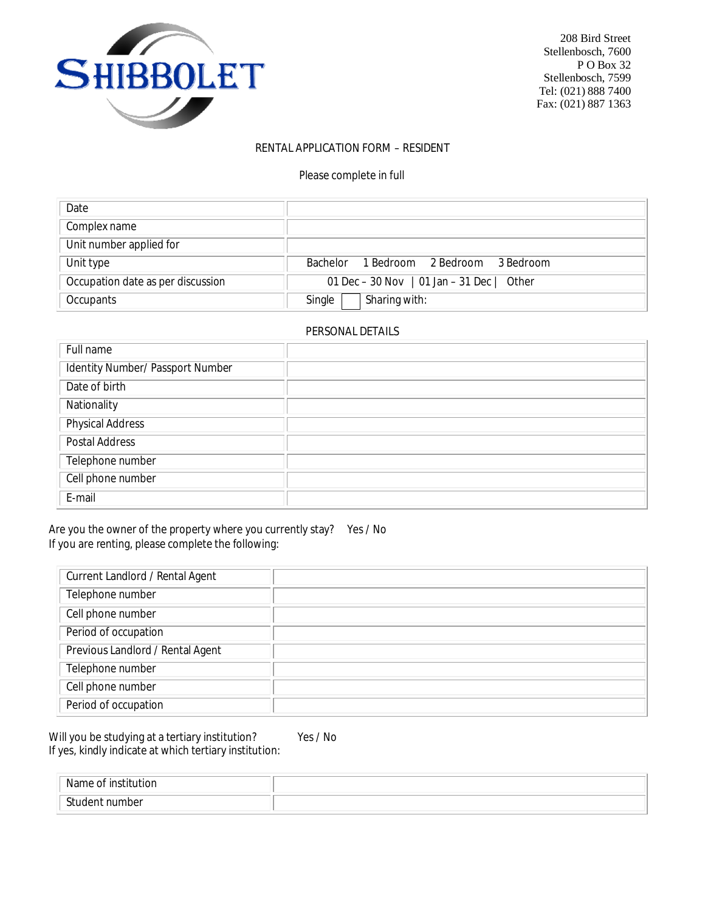

208 Bird Street<br>Stellenbosch, 7600  $\blacksquare$  PO Box 32

# **RENTAL APPLICATION FORM – RESIDENT**

Please complete in full

| Date                              |                                           |  |  |
|-----------------------------------|-------------------------------------------|--|--|
| Complex name                      |                                           |  |  |
| Unit number applied for           |                                           |  |  |
| Unit type                         | 1 Bedroom 2 Bedroom 3 Bedroom<br>Bachelor |  |  |
| Occupation date as per discussion | 01 Dec - 30 Nov   01 Jan - 31 Dec   Other |  |  |
| Occupants                         | Sharing with:<br>Single                   |  |  |

#### **PERSONAL DETAILS**

| Full name                        |  |
|----------------------------------|--|
| Identity Number/ Passport Number |  |
| Date of birth                    |  |
| Nationality                      |  |
| <b>Physical Address</b>          |  |
| <b>Postal Address</b>            |  |
| Telephone number                 |  |
| Cell phone number                |  |
| E-mail                           |  |

Are you the owner of the property where you currently stay? Yes / No If you are renting, please complete the following:

| <b>Current Landlord / Rental Agent</b> |  |
|----------------------------------------|--|
| Telephone number                       |  |
| Cell phone number                      |  |
| Period of occupation                   |  |
| Previous Landlord / Rental Agent       |  |
| Telephone number                       |  |
| Cell phone number                      |  |
| Period of occupation                   |  |

Will you be studying at a tertiary institution? Yes / No If yes, kindly indicate at which tertiary institution:

| $\cdots$<br>tior<br>N2<br>inc |  |
|-------------------------------|--|
| $^{\circ}$<br>. number<br>பு  |  |